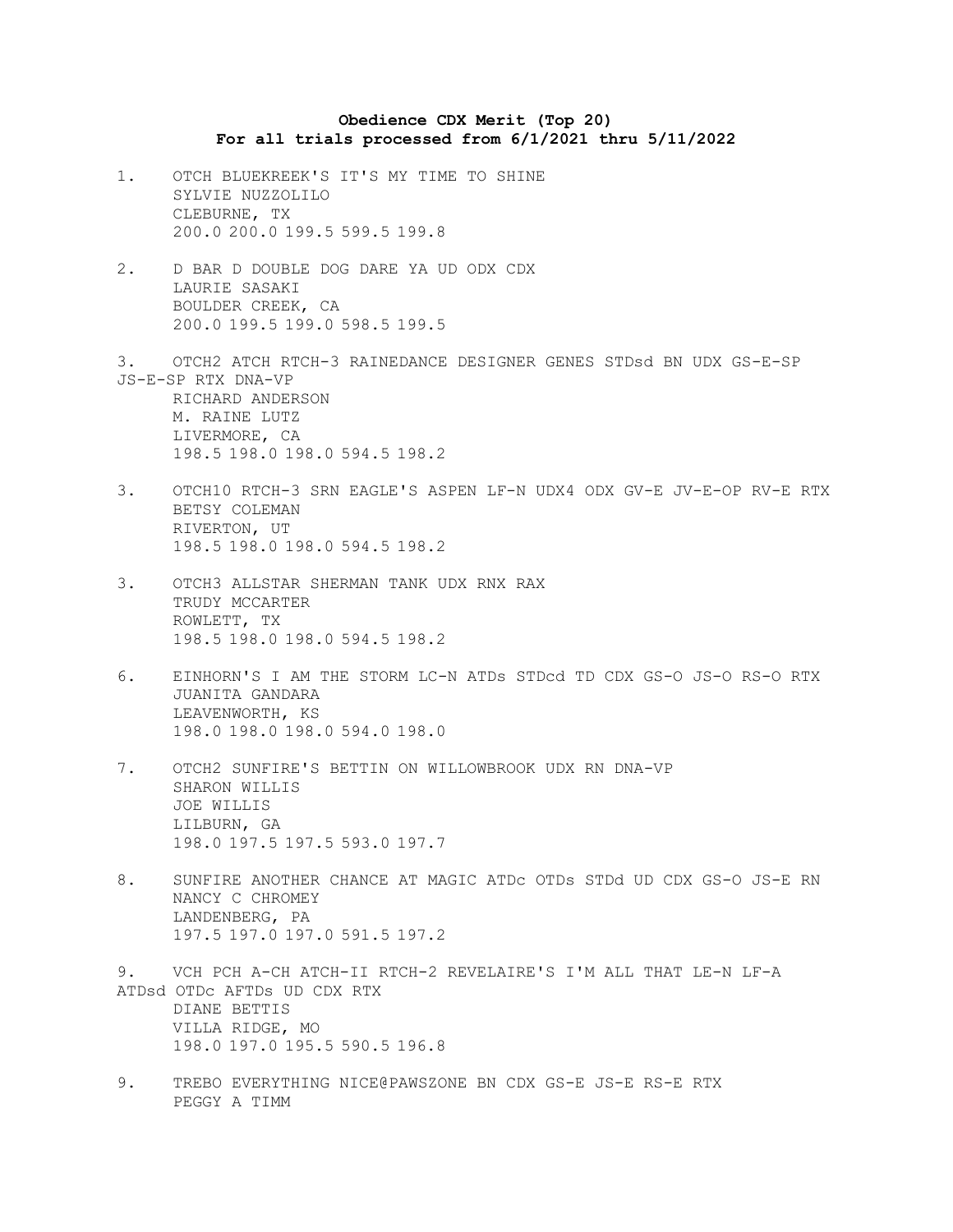## **Obedience CDX Merit (Top 20) For all trials processed from 6/1/2021 thru 5/11/2022**

- 1. OTCH BLUEKREEK'S IT'S MY TIME TO SHINE SYLVIE NUZZOLILO CLEBURNE, TX 200.0 200.0 199.5 599.5 199.8
- 2. D BAR D DOUBLE DOG DARE YA UD ODX CDX LAURIE SASAKI BOULDER CREEK, CA 200.0 199.5 199.0 598.5 199.5
- 3. OTCH2 ATCH RTCH-3 RAINEDANCE DESIGNER GENES STDsd BN UDX GS-E-SP JS-E-SP RTX DNA-VP RICHARD ANDERSON M. RAINE LUTZ LIVERMORE, CA 198.5 198.0 198.0 594.5 198.2
- 3. OTCH10 RTCH-3 SRN EAGLE'S ASPEN LF-N UDX4 ODX GV-E JV-E-OP RV-E RTX BETSY COLEMAN RIVERTON, UT 198.5 198.0 198.0 594.5 198.2
- 3. OTCH3 ALLSTAR SHERMAN TANK UDX RNX RAX TRUDY MCCARTER ROWLETT, TX 198.5 198.0 198.0 594.5 198.2
- 6. EINHORN'S I AM THE STORM LC-N ATDs STDcd TD CDX GS-O JS-O RS-O RTX JUANITA GANDARA LEAVENWORTH, KS 198.0 198.0 198.0 594.0 198.0
- 7. OTCH2 SUNFIRE'S BETTIN ON WILLOWBROOK UDX RN DNA-VP SHARON WILLIS JOE WILLIS LILBURN, GA 198.0 197.5 197.5 593.0 197.7
- 8. SUNFIRE ANOTHER CHANCE AT MAGIC ATDc OTDs STDd UD CDX GS-O JS-E RN NANCY C CHROMEY LANDENBERG, PA 197.5 197.0 197.0 591.5 197.2

9. VCH PCH A-CH ATCH-II RTCH-2 REVELAIRE'S I'M ALL THAT LE-N LF-A ATDsd OTDc AFTDs UD CDX RTX DIANE BETTIS VILLA RIDGE, MO 198.0 197.0 195.5 590.5 196.8

9. TREBO EVERYTHING NICE@PAWSZONE BN CDX GS-E JS-E RS-E RTX PEGGY A TIMM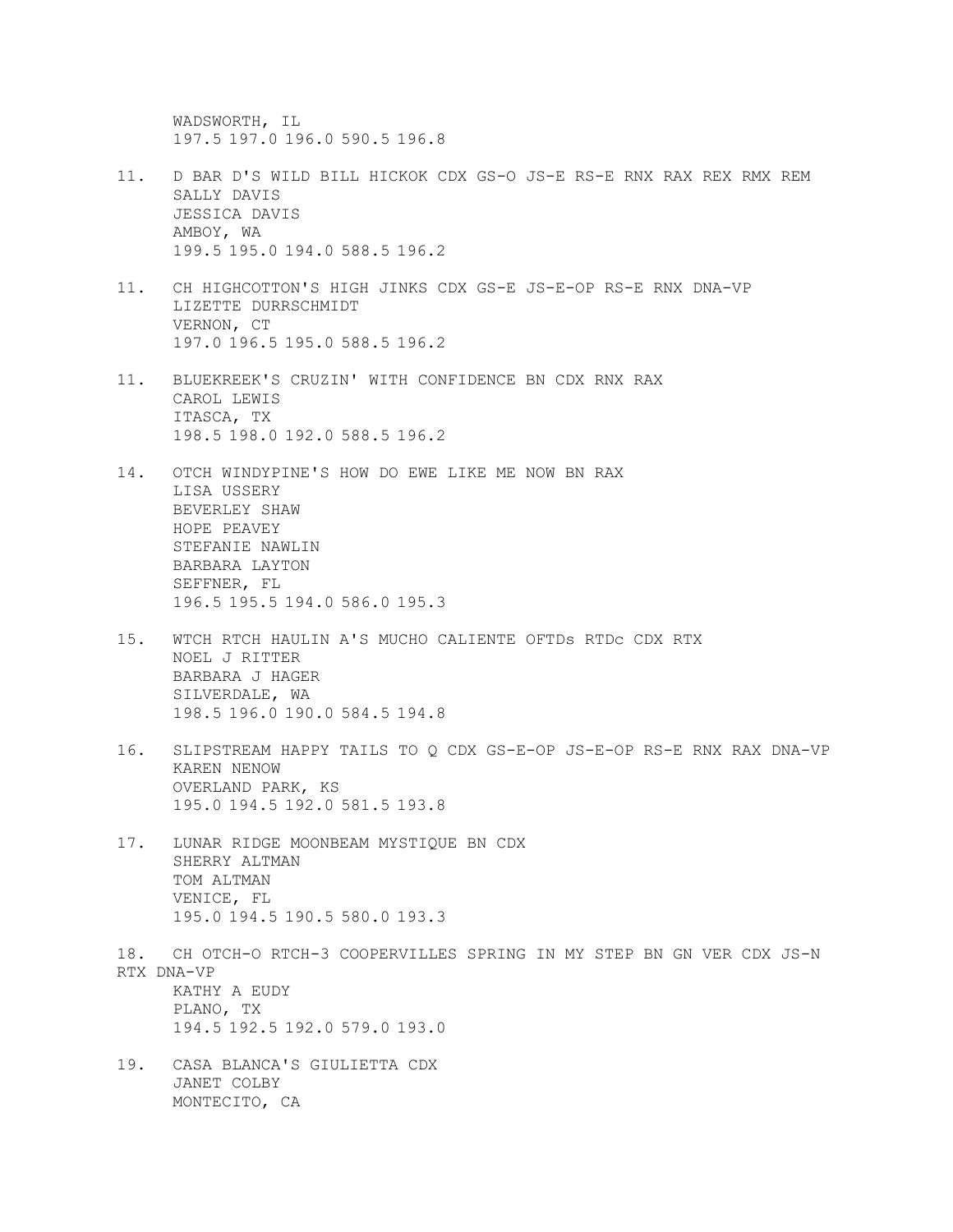WADSWORTH, IL 197.5 197.0 196.0 590.5 196.8

- 11. D BAR D'S WILD BILL HICKOK CDX GS-O JS-E RS-E RNX RAX REX RMX REM SALLY DAVIS JESSICA DAVIS AMBOY, WA 199.5 195.0 194.0 588.5 196.2
- 11. CH HIGHCOTTON'S HIGH JINKS CDX GS-E JS-E-OP RS-E RNX DNA-VP LIZETTE DURRSCHMIDT VERNON, CT 197.0 196.5 195.0 588.5 196.2
- 11. BLUEKREEK'S CRUZIN' WITH CONFIDENCE BN CDX RNX RAX CAROL LEWIS ITASCA, TX 198.5 198.0 192.0 588.5 196.2
- 14. OTCH WINDYPINE'S HOW DO EWE LIKE ME NOW BN RAX LISA USSERY BEVERLEY SHAW HOPE PEAVEY STEFANIE NAWLIN BARBARA LAYTON SEFFNER, FL 196.5 195.5 194.0 586.0 195.3
- 15. WTCH RTCH HAULIN A'S MUCHO CALIENTE OFTDs RTDc CDX RTX NOEL J RITTER BARBARA J HAGER SILVERDALE, WA 198.5 196.0 190.0 584.5 194.8
- 16. SLIPSTREAM HAPPY TAILS TO Q CDX GS-E-OP JS-E-OP RS-E RNX RAX DNA-VP KAREN NENOW OVERLAND PARK, KS 195.0 194.5 192.0 581.5 193.8
- 17. LUNAR RIDGE MOONBEAM MYSTIQUE BN CDX SHERRY ALTMAN TOM ALTMAN VENICE, FL 195.0 194.5 190.5 580.0 193.3
- 18. CH OTCH-O RTCH-3 COOPERVILLES SPRING IN MY STEP BN GN VER CDX JS-N RTX DNA-VP KATHY A EUDY PLANO, TX 194.5 192.5 192.0 579.0 193.0
- 19. CASA BLANCA'S GIULIETTA CDX JANET COLBY MONTECITO, CA